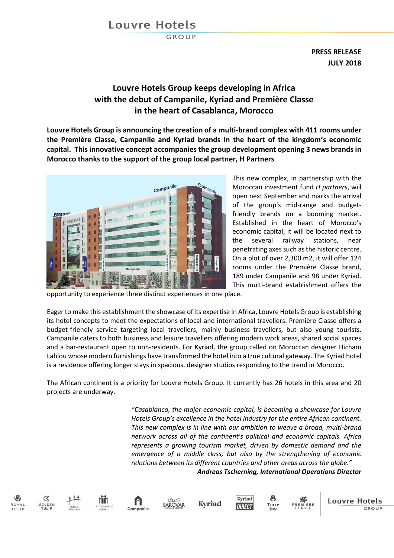# **Louvre Hotels**

GROUP

**PRESS RELEASE JULY 2018**

## **Louvre Hotels Group keeps developing in Africa with the debut of Campanile, Kyriad and Première Classe in the heart of Casablanca, Morocco**

**Louvre Hotels Group is announcing the creation of a multi-brand complex with 411 rooms under the Première Classe, Campanile and Kyriad brands in the heart of the kingdom's economic capital. This innovative concept accompanies the group development opening 3 news brands in Morocco thanks to the support of the group local partner, H Partners**



This new complex, in partnership with the Moroccan investment fund *H partners*, will open next September and marks the arrival of the group's mid-range and budgetfriendly brands on a booming market. Established in the heart of Morocco's economic capital, it will be located next to the several railway stations, near penetrating axes such as the historic centre. On a plot of over 2,300 m2, it will offer 124 rooms under the Première Classe brand, 189 under Campanile and 98 under Kyriad. This multi-brand establishment offers the

opportunity to experience three distinct experiences in one place.

Eager to make this establishment the showcase of its expertise in Africa, Louvre Hotels Group is establishing its hotel concepts to meet the expectations of local and international travellers. Première Classe offers a budget-friendly service targeting local travellers, mainly business travellers, but also young tourists. Campanile caters to both business and leisure travellers offering modern work areas, shared social spaces and a bar-restaurant open to non-residents. For Kyriad, the group called on Moroccan designer Hicham Lahlou whose modern furnishings have transformed the hotel into a true cultural gateway. The Kyriad hotel is a residence offering longer stays in spacious, designer studios responding to the trend in Morocco.

The African continent is a priority for Louvre Hotels Group. It currently has 26 hotels in this area and 20 projects are underway.

> *"Casablanca, the major economic capital, is becoming a showcase for Louvre Hotels Group's excellence in the hotel industry for the entire African continent. This new complex is in line with our ambition to weave a broad, multi-brand network across all of the continent's political and economic capitals. Africa represents a growing tourism market, driven by domestic demand and the emergence of a middle class, but also by the strengthening of economic relations between its different countries and other areas across the globe." Andreas Tscherning, International Operations Director*



 $\propto$ 













**Louvre Hotels**